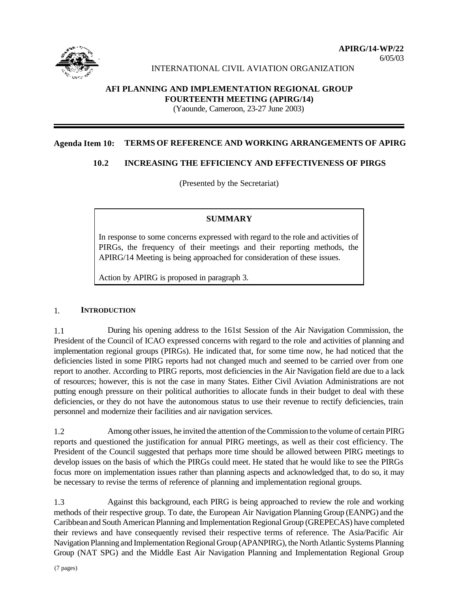

6/05/03

### INTERNATIONAL CIVIL AVIATION ORGANIZATION

## **AFI PLANNING AND IMPLEMENTATION REGIONAL GROUP FOURTEENTH MEETING (APIRG/14)**

(Yaounde, Cameroon, 23-27 June 2003)

#### **Agenda Item 10: TERMS OF REFERENCE AND WORKING ARRANGEMENTS OF APIRG**

### **10.2 INCREASING THE EFFICIENCY AND EFFECTIVENESS OF PIRGS**

(Presented by the Secretariat)

### **SUMMARY**

In response to some concerns expressed with regard to the role and activities of PIRGs, the frequency of their meetings and their reporting methods, the APIRG/14 Meeting is being approached for consideration of these issues.

Action by APIRG is proposed in paragraph 3.

#### 1. **INTRODUCTION**

1.1 During his opening address to the 161st Session of the Air Navigation Commission, the President of the Council of ICAO expressed concerns with regard to the role and activities of planning and implementation regional groups (PIRGs). He indicated that, for some time now, he had noticed that the deficiencies listed in some PIRG reports had not changed much and seemed to be carried over from one report to another. According to PIRG reports, most deficiencies in the Air Navigation field are due to a lack of resources; however, this is not the case in many States. Either Civil Aviation Administrations are not putting enough pressure on their political authorities to allocate funds in their budget to deal with these deficiencies, or they do not have the autonomous status to use their revenue to rectify deficiencies, train personnel and modernize their facilities and air navigation services.

1.2 Among other issues, he invited the attention of the Commission to the volume of certain PIRG reports and questioned the justification for annual PIRG meetings, as well as their cost efficiency. The President of the Council suggested that perhaps more time should be allowed between PIRG meetings to develop issues on the basis of which the PIRGs could meet. He stated that he would like to see the PIRGs focus more on implementation issues rather than planning aspects and acknowledged that, to do so, it may be necessary to revise the terms of reference of planning and implementation regional groups.

1.3 Against this background, each PIRG is being approached to review the role and working methods of their respective group. To date, the European Air Navigation Planning Group (EANPG) and the Caribbean and South American Planning and Implementation Regional Group (GREPECAS) have completed their reviews and have consequently revised their respective terms of reference. The Asia/Pacific Air Navigation Planning and Implementation Regional Group (APANPIRG), the North Atlantic Systems Planning Group (NAT SPG) and the Middle East Air Navigation Planning and Implementation Regional Group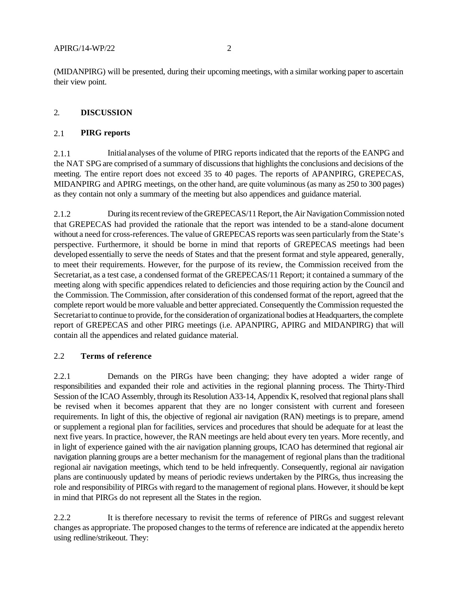(MIDANPIRG) will be presented, during their upcoming meetings, with a similar working paper to ascertain their view point.

# 2. **DISCUSSION**

## 2.1 **PIRG reports**

2.1.1 Initial analyses of the volume of PIRG reports indicated that the reports of the EANPG and the NAT SPG are comprised of a summary of discussions that highlights the conclusions and decisions of the meeting. The entire report does not exceed 35 to 40 pages. The reports of APANPIRG, GREPECAS, MIDANPIRG and APIRG meetings, on the other hand, are quite voluminous (as many as 250 to 300 pages) as they contain not only a summary of the meeting but also appendices and guidance material.

2.1.2 During its recent review of the GREPECAS/11 Report, the Air Navigation Commission noted that GREPECAS had provided the rationale that the report was intended to be a stand-alone document without a need for cross-references. The value of GREPECAS reports was seen particularly from the State's perspective. Furthermore, it should be borne in mind that reports of GREPECAS meetings had been developed essentially to serve the needs of States and that the present format and style appeared, generally, to meet their requirements. However, for the purpose of its review, the Commission received from the Secretariat, as a test case, a condensed format of the GREPECAS/11 Report; it contained a summary of the meeting along with specific appendices related to deficiencies and those requiring action by the Council and the Commission. The Commission, after consideration of this condensed format of the report, agreed that the complete report would be more valuable and better appreciated. Consequently the Commission requested the Secretariat to continue to provide, for the consideration of organizational bodies at Headquarters, the complete report of GREPECAS and other PIRG meetings (i.e. APANPIRG, APIRG and MIDANPIRG) that will contain all the appendices and related guidance material.

# 2.2 **Terms of reference**

2.2.1 Demands on the PIRGs have been changing; they have adopted a wider range of responsibilities and expanded their role and activities in the regional planning process. The Thirty-Third Session of the ICAO Assembly, through its Resolution A33-14, Appendix K, resolved that regional plans shall be revised when it becomes apparent that they are no longer consistent with current and foreseen requirements. In light of this, the objective of regional air navigation (RAN) meetings is to prepare, amend or supplement a regional plan for facilities, services and procedures that should be adequate for at least the next five years. In practice, however, the RAN meetings are held about every ten years. More recently, and in light of experience gained with the air navigation planning groups, ICAO has determined that regional air navigation planning groups are a better mechanism for the management of regional plans than the traditional regional air navigation meetings, which tend to be held infrequently. Consequently, regional air navigation plans are continuously updated by means of periodic reviews undertaken by the PIRGs, thus increasing the role and responsibility of PIRGs with regard to the management of regional plans. However, it should be kept in mind that PIRGs do not represent all the States in the region.

2.2.2 It is therefore necessary to revisit the terms of reference of PIRGs and suggest relevant changes as appropriate. The proposed changes to the terms of reference are indicated at the appendix hereto using redline/strikeout. They: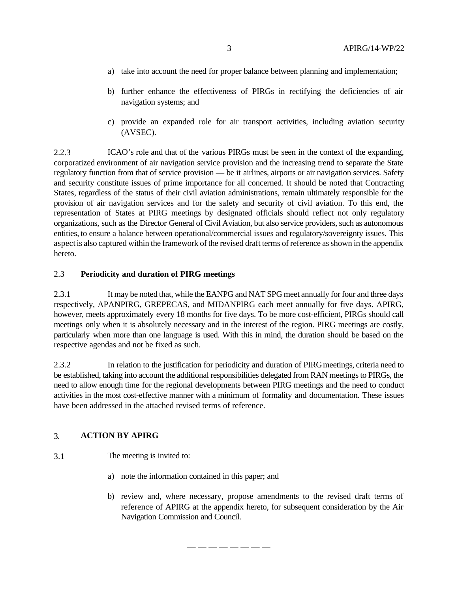- a) take into account the need for proper balance between planning and implementation;
- b) further enhance the effectiveness of PIRGs in rectifying the deficiencies of air navigation systems; and
- c) provide an expanded role for air transport activities, including aviation security (AVSEC).

2.2.3 ICAO's role and that of the various PIRGs must be seen in the context of the expanding, corporatized environment of air navigation service provision and the increasing trend to separate the State regulatory function from that of service provision — be it airlines, airports or air navigation services. Safety and security constitute issues of prime importance for all concerned. It should be noted that Contracting States, regardless of the status of their civil aviation administrations, remain ultimately responsible for the provision of air navigation services and for the safety and security of civil aviation. To this end, the representation of States at PIRG meetings by designated officials should reflect not only regulatory organizations, such as the Director General of Civil Aviation, but also service providers, such as autonomous entities, to ensure a balance between operational/commercial issues and regulatory/sovereignty issues. This aspect is also captured within the framework of the revised draft terms of reference as shown in the appendix hereto.

#### 2.3 **Periodicity and duration of PIRG meetings**

2.3.1 It may be noted that, while the EANPG and NAT SPG meet annually for four and three days respectively, APANPIRG, GREPECAS, and MIDANPIRG each meet annually for five days. APIRG, however, meets approximately every 18 months for five days. To be more cost-efficient, PIRGs should call meetings only when it is absolutely necessary and in the interest of the region. PIRG meetings are costly, particularly when more than one language is used. With this in mind, the duration should be based on the respective agendas and not be fixed as such.

2.3.2 In relation to the justification for periodicity and duration of PIRG meetings, criteria need to be established, taking into account the additional responsibilities delegated from RAN meetings to PIRGs, the need to allow enough time for the regional developments between PIRG meetings and the need to conduct activities in the most cost-effective manner with a minimum of formality and documentation. These issues have been addressed in the attached revised terms of reference.

— — — — — — — —

### 3. **ACTION BY APIRG**

- 3.1 The meeting is invited to:
	- a) note the information contained in this paper; and
	- b) review and, where necessary, propose amendments to the revised draft terms of reference of APIRG at the appendix hereto, for subsequent consideration by the Air Navigation Commission and Council.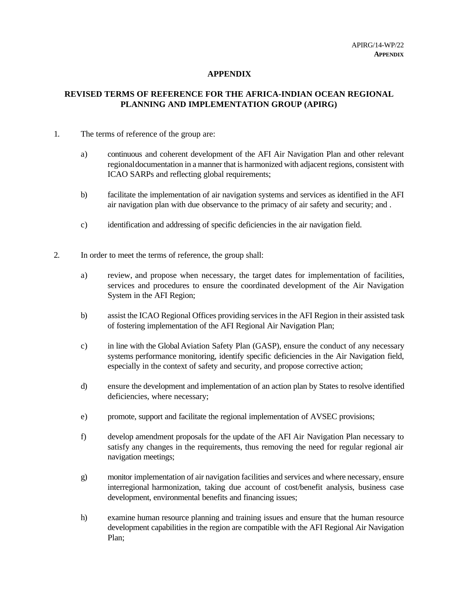## **APPENDIX**

## **REVISED TERMS OF REFERENCE FOR THE AFRICA-INDIAN OCEAN REGIONAL PLANNING AND IMPLEMENTATION GROUP (APIRG)**

- 1. The terms of reference of the group are:
	- a) continuous and coherent development of the AFI Air Navigation Plan and other relevant regional documentation in a manner that is harmonized with adjacent regions, consistent with ICAO SARPs and reflecting global requirements;
	- b) facilitate the implementation of air navigation systems and services as identified in the AFI air navigation plan with due observance to the primacy of air safety and security; and .
	- c) identification and addressing of specific deficiencies in the air navigation field.
- 2. In order to meet the terms of reference, the group shall:
	- a) review, and propose when necessary, the target dates for implementation of facilities, services and procedures to ensure the coordinated development of the Air Navigation System in the AFI Region;
	- b) assist the ICAO Regional Offices providing services in the AFI Region in their assisted task of fostering implementation of the AFI Regional Air Navigation Plan;
	- c) in line with the Global Aviation Safety Plan (GASP), ensure the conduct of any necessary systems performance monitoring, identify specific deficiencies in the Air Navigation field, especially in the context of safety and security, and propose corrective action;
	- d) ensure the development and implementation of an action plan by States to resolve identified deficiencies, where necessary;
	- e) promote, support and facilitate the regional implementation of AVSEC provisions;
	- f) develop amendment proposals for the update of the AFI Air Navigation Plan necessary to satisfy any changes in the requirements, thus removing the need for regular regional air navigation meetings;
	- g) monitor implementation of air navigation facilities and services and where necessary, ensure interregional harmonization, taking due account of cost/benefit analysis, business case development, environmental benefits and financing issues;
	- h) examine human resource planning and training issues and ensure that the human resource development capabilities in the region are compatible with the AFI Regional Air Navigation Plan;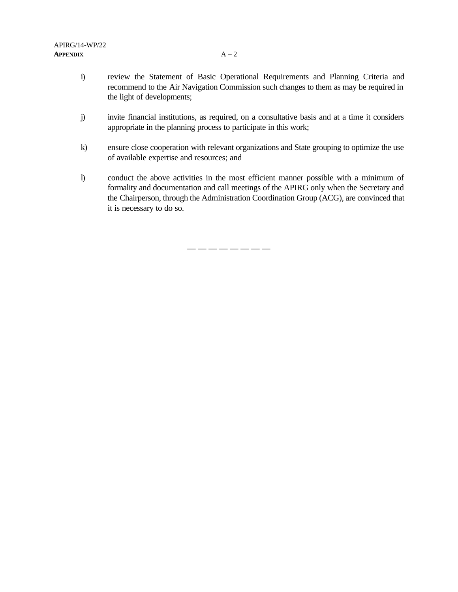- i) review the Statement of Basic Operational Requirements and Planning Criteria and recommend to the Air Navigation Commission such changes to them as may be required in the light of developments;
- j) invite financial institutions, as required, on a consultative basis and at a time it considers appropriate in the planning process to participate in this work;
- k) ensure close cooperation with relevant organizations and State grouping to optimize the use of available expertise and resources; and
- l) conduct the above activities in the most efficient manner possible with a minimum of formality and documentation and call meetings of the APIRG only when the Secretary and the Chairperson, through the Administration Coordination Group (ACG), are convinced that it is necessary to do so.

— — — — — — — —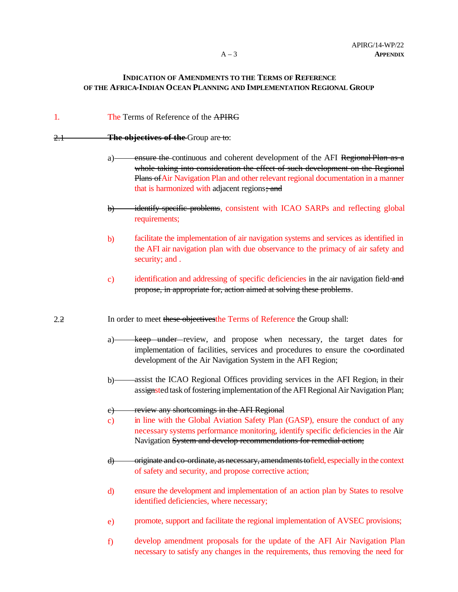## **INDICATION OF AMENDMENTS TO THE TERMS OF REFERENCE OF THE AFRICA-INDIAN OCEAN PLANNING AND IMPLEMENTATION REGIONAL GROUP**

| 1.  | The Terms of Reference of the APIRG                                                                                                                                                                                                                                                                               |
|-----|-------------------------------------------------------------------------------------------------------------------------------------------------------------------------------------------------------------------------------------------------------------------------------------------------------------------|
| 2.1 | The objectives of the Group are to:                                                                                                                                                                                                                                                                               |
|     | ensure the continuous and coherent development of the AFI Regional Plan as a<br>a)<br>whole taking into consideration the effect of such development on the Regional<br>Plans of Air Navigation Plan and other relevant regional documentation in a manner<br>that is harmonized with adjacent regions; and       |
|     | identify specific problems, consistent with ICAO SARPs and reflecting global<br>$\theta$<br>requirements;                                                                                                                                                                                                         |
|     | facilitate the implementation of air navigation systems and services as identified in<br>$\mathbf{b}$<br>the AFI air navigation plan with due observance to the primacy of air safety and<br>security; and .                                                                                                      |
|     | identification and addressing of specific deficiencies in the air navigation field and<br>$\mathbf{c})$<br>propose, in appropriate for, action aimed at solving these problems.                                                                                                                                   |
| 2.2 | In order to meet these objectives the Terms of Reference the Group shall:                                                                                                                                                                                                                                         |
|     | keep under review, and propose when necessary, the target dates for<br>$a)$ —<br>implementation of facilities, services and procedures to ensure the co-ordinated<br>development of the Air Navigation System in the AFI Region;                                                                                  |
|     | assist the ICAO Regional Offices providing services in the AFI Region, in their<br>$b)$ -<br>assignsted task of fostering implementation of the AFI Regional Air Navigation Plan;                                                                                                                                 |
|     | review any shortcomings in the AFI Regional<br>e)<br>in line with the Global Aviation Safety Plan (GASP), ensure the conduct of any<br>$\mathbf{c})$<br>necessary systems performance monitoring, identify specific deficiencies in the Air<br>Navigation System and develop recommendations for remedial action; |
|     | originate and co-ordinate, as necessary, amendments to field, especially in the context<br>$\bigoplus$<br>of safety and security, and propose corrective action;                                                                                                                                                  |
|     | ensure the development and implementation of an action plan by States to resolve<br>d)<br>identified deficiencies, where necessary;                                                                                                                                                                               |
|     | promote, support and facilitate the regional implementation of AVSEC provisions;<br>$\epsilon$                                                                                                                                                                                                                    |
|     | develop amendment proposals for the update of the AFI Air Navigation Plan<br>f                                                                                                                                                                                                                                    |

necessary to satisfy any changes in the requirements, thus removing the need for